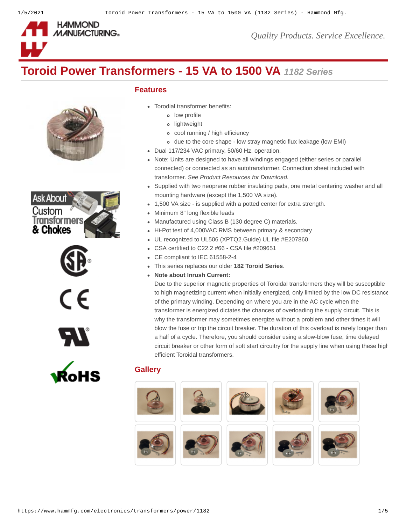

*Quality Products. Service Excellence.*

# **Toroid Power Transformers - 15 VA to 1500 VA** *1182 Series*

## **Features**

- Torodial transformer benefits:
	- low profile
	- lightweight
	- cool running / high efficiency
	- due to the core shape low stray magnetic flux leakage (low EMI)
- Dual 117/234 VAC primary, 50/60 Hz. operation.
- Note: Units are designed to have all windings engaged (either series or parallel connected) or connected as an autotransformer. Connection sheet included with transformer. *See Product Resources for Download.*
- Supplied with two neoprene rubber insulating pads, one metal centering washer and all mounting hardware (except the 1,500 VA size).
- 1,500 VA size is supplied with a potted center for extra strength.
- Minimum 8" long flexible leads
- Manufactured using Class B (130 degree C) materials.
- Hi-Pot test of 4,000VAC RMS between primary & secondary
- UL recognized to UL506 (XPTQ2.Guide) UL file #E207860
- CSA certified to C22.2 #66 CSA file #209651
- CE compliant to IEC 61558-2-4
- This series replaces our older **[182 Toroid Series](https://www.hammfg.com/product/182)**.
- **Note about Inrush Current:**

Due to the superior magnetic properties of Toroidal transformers they will be susceptible to high magnetizing current when initially energized, only limited by the low DC resistance of the primary winding. Depending on where you are in the AC cycle when the transformer is energized dictates the chances of overloading the supply circuit. This is why the transformer may sometimes energize without a problem and other times it will blow the fuse or trip the circuit breaker. The duration of this overload is rarely longer than a half of a cycle. Therefore, you should consider using a slow-blow fuse, time delayed circuit breaker or other form of soft start circuitry for the supply line when using these high efficient Toroidal transformers.

### **Gallery**









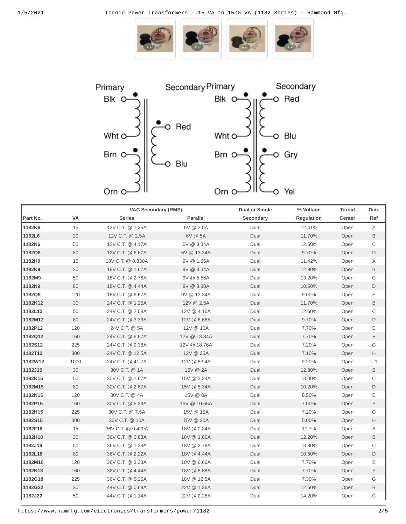



|          |      | <b>VAC Secondary (RMS)</b> |                 | Dual or Single | % Voltage  | <b>Toroid</b> | Dim.        |
|----------|------|----------------------------|-----------------|----------------|------------|---------------|-------------|
| Part No. | VA   | <b>Series</b>              | <b>Parallel</b> | Secondary      | Regulation | Center        | Ref         |
| 1182K6   | 15   | 12V C.T. @ 1.25A           | 6V @ 2.5A       | Dual           | 12.41%     | Open          | Α           |
| 1182L6   | 30   | 12V C.T. @ 2.5A            | 6V @ 5A         | Dual           | 11.70%     | Open          | B           |
| 1182N6   | 50   | 12V C.T. @ 4.17A           | 6V @ 8.34A      | Dual           | 12.60%     | Open          | C           |
| 118206   | 80   | 12V C.T. @ 6.67A           | 6V @ 13.34A     | Dual           | 9.70%      | Open          | D           |
| 1182H9   | 15   | 18V C.T. @ 0.830A          | 9V @ 1.66A      | Dual           | 11.42%     | Open          | Α           |
| 1182K9   | 30   | 18V C.T. @ 1.67A           | 9V @ 3.34A      | Dual           | 12.80%     | Open          | $\mathsf B$ |
| 1182M9   | 50   | 18V C.T. @ 2.78A           | 9V @ 5.56A      | Dual           | 13.20%     | Open          | C           |
| 1182N9   | 80   | 18V C.T. @ 4.44A           | 9V @ 8.88A      | Dual           | 10.50%     | Open          | D           |
| 118209   | 120  | 18V C.T. @ 6.67A           | 9V @ 13.34A     | Dual           | 9.00%      | Open          | Ε           |
| 1182K12  | 30   | 24V C.T. @ 1.25A           | 12V @ 2.5A      | Dual           | 11.70%     | Open          | $\mathsf B$ |
| 1182L12  | 50   | 24V C.T. @ 2.08A           | 12V @ 4.16A     | Dual           | 12.60%     | Open          | C           |
| 1182M12  | 80   | 24V C.T. @ 3.33A           | 12V @ 6.66A     | Dual           | 9.70%      | Open          | D           |
| 1182P12  | 120  | 24V C.T. @ 5A              | 12V @ 10A       | Dual           | 7.70%      | Open          | Ε           |
| 1182012  | 160  | 24V C.T. @ 6.67A           | 12V @ 13.34A    | Dual           | 7.70%      | Open          | F           |
| 1182S12  | 225  | 24V C.T. @ 9.38A           | 12V @ 18.76A    | Dual           | 7.20%      | Open          | G           |
| 1182T12  | 300  | 24V C.T. @ 12.5A           | 12V @ 25A       | Dual           | 7.10%      | Open          | H           |
| 1182W12  | 1000 | 24V C.T. @ 41.7A           | 12V @ 83.4A     | Dual           | 2.20%      | Open          | $L-1$       |
| 1182J15  | 30   | 30V C.T. @ 1A              | 15V @ 2A        | Dual           | 12.30%     | Open          | $\mathsf B$ |
| 1182K15  | 50   | 30V C.T. @ 1.67A           | 15V @ 3.34A     | Dual           | 13.00%     | Open          | C           |
| 1182M15  | 80   | 30V C.T. @ 2.67A           | 15V @ 5.34A     | Dual           | 10.20%     | Open          | D           |
| 1182N15  | 120  | 30V C.T. @ 4A              | 15V @ 8A        | Dual           | 8.50%      | Open          | Ε           |
| 1182P15  | 160  | 30V C.T. @ 5.33A           | 15V @ 10.66A    | Dual           | 7.00%      | Open          | F           |
| 1182H15  | 225  | 30V C.T. @ 7.5A            | 15V @ 15A       | Dual           | 7.20%      | Open          | G           |
| 1182S15  | 300  | 30V C.T. @ 10A             | 15V @ 20A       | Dual           | 5.00%      | Open          | H           |
| 1182F18  | 15   | 36V C.T. @ 0.420A          | 18V @ 0.84A     | Dual           | 11.7%      | Open          | Α           |
| 1182H18  | 30   | 36V C.T. @ 0.83A           | 18V @ 1.66A     | Dual           | 12.20%     | Open          | $\mathsf B$ |
| 1182J18  | 50   | 36V C.T. @ 1.39A           | 18V @ 2.78A     | Dual           | 13.80%     | Open          | C           |
| 1182L18  | 80   | 36V C.T. @ 2.22A           | 18V @ 4.44A     | Dual           | 10.50%     | Open          | D           |
| 1182M18  | 120  | 36V C.T. @ 3.33A           | 18V @ 6.66A     | Dual           | 7.70%      | Open          | Ε           |
| 1182N18  | 160  | 36V C.T. @ 4.44A           | 18V @ 8.88A     | Dual           | 7.70%      | Open          | F           |
| 1182G18  | 225  | 36V C.T. @ 6.25A           | 18V @ 12.5A     | Dual           | 7.30%      | Open          | G           |
| 1182G22  | 30   | 44V C.T. @ 0.68A           | 22V @ 1.36A     | Dual           | 12.60%     | Open          | B           |
| 1182J22  | 50   | 44V C.T. @ 1.14A           | 22V @ 2.28A     | Dual           | 14.20%     | Open          | C           |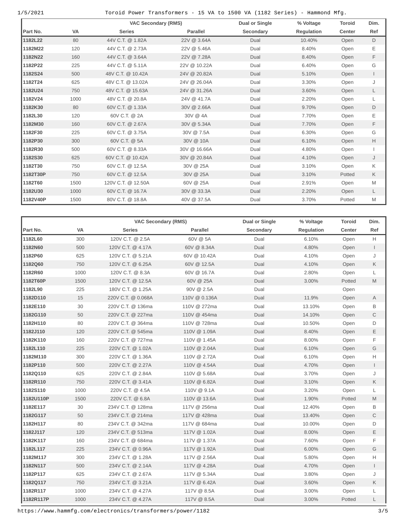1/5/2021 Toroid Power Transformers - 15 VA to 1500 VA (1182 Series) - Hammond Mfg.

|          | <b>VAC Secondary (RMS)</b> |                    |              | <b>Dual or Single</b> | % Voltage  | <b>Toroid</b> | Dim.         |
|----------|----------------------------|--------------------|--------------|-----------------------|------------|---------------|--------------|
| Part No. | <b>VA</b>                  | <b>Series</b>      | Parallel     | Secondary             | Regulation | Center        | Ref          |
| 1182L22  | 80                         | 44V C.T. @ 1.82A   | 22V @ 3.64A  | Dual                  | 10.40%     | Open          | D            |
| 1182M22  | 120                        | 44V C.T. @ 2.73A   | 22V @ 5.46A  | Dual                  | 8.40%      | Open          | Ε            |
| 1182N22  | 160                        | 44V C.T. @ 3.64A   | 22V @ 7.28A  | Dual                  | 8.40%      | Open          | F            |
| 1182P22  | 225                        | 44V C.T. @ 5.11A   | 22V @ 10.22A | Dual                  | 6.40%      | Open          | G            |
| 1182S24  | 500                        | 48V C.T. @ 10.42A  | 24V @ 20.82A | Dual                  | 5.10%      | Open          | $\mathbf{I}$ |
| 1182T24  | 625                        | 48V C.T. @ 13.02A  | 24V @ 26.04A | Dual                  | 3.30%      | Open          | J            |
| 1182U24  | 750                        | 48V C.T. @ 15.63A  | 24V @ 31.26A | Dual                  | 3.60%      | Open          | L            |
| 1182V24  | 1000                       | 48V C.T. @ 20.8A   | 24V @ 41.7A  | Dual                  | 2.20%      | Open          | L            |
| 1182K30  | 80                         | 60V C.T. @ 1.33A   | 30V @ 2.66A  | Dual                  | 9.70%      | Open          | D            |
| 1182L30  | 120                        | 60V C.T. @ 2A      | 30V @ 4A     | Dual                  | 7.70%      | Open          | Е            |
| 1182M30  | 160                        | 60V C.T. @ 2.67A   | 30V @ 5.34A  | Dual                  | 7.70%      | Open          | F            |
| 1182F30  | 225                        | 60V C.T. @ 3.75A   | 30V @ 7.5A   | Dual                  | 6.30%      | Open          | G            |
| 1182P30  | 300                        | 60V C.T. @ 5A      | 30V @ 10A    | Dual                  | 6.10%      | Open          | Н            |
| 1182R30  | 500                        | 60V C.T. @ 8.33A   | 30V @ 16,66A | Dual                  | 4.80%      | Open          |              |
| 1182S30  | 625                        | 60V C.T. @ 10.42A  | 30V @ 20.84A | Dual                  | 4.10%      | Open          | J            |
| 1182T30  | 750                        | 60V C.T. @ 12.5A   | 30V @ 25A    | Dual                  | 3.10%      | Open          | Κ            |
| 1182T30P | 750                        | 60V C.T. @ 12.5A   | 30V @ 25A    | Dual                  | 3.10%      | Potted        | K            |
| 1182T60  | 1500                       | 120V C.T. @ 12.50A | 60V @ 25A    | Dual                  | 2.91%      | Open          | M            |
| 1182U30  | 1000                       | 60V C.T. @ 16.7A   | 30V @ 33.3A  | Dual                  | 2.20%      | Open          | L            |
| 1182V40P | 1500                       | 80V C.T. @ 18.8A   | 40V @ 37.5A  | Dual                  | 3.70%      | Potted        | M            |

|           |           | <b>VAC Secondary (RMS)</b> |               | Dual or Single | % Voltage  | <b>Toroid</b> | Dim.                                                                                                       |
|-----------|-----------|----------------------------|---------------|----------------|------------|---------------|------------------------------------------------------------------------------------------------------------|
| Part No.  | <b>VA</b> | <b>Series</b>              | Parallel      | Secondary      | Regulation | Center        | Ref                                                                                                        |
| 1182L60   | 300       | 120V C.T. @ 2.5A           | 60V @ 5A      | Dual           | 6.10%      | Open          | H                                                                                                          |
| 1182N60   | 500       | 120V C.T. @ 4.17A          | 60V @ 8.34A   | Dual           | 4.80%      | Open          | $\mathbf{L}$                                                                                               |
| 1182P60   | 625       | 120V C.T. @ 5.21A          | 60V @ 10.42A  | Dual           | 4.10%      | Open          | J                                                                                                          |
| 1182Q60   | 750       | 120V C.T. @ 6.25A          | 60V @ 12.5A   | Dual           | 4.10%      | Open          | Κ                                                                                                          |
| 1182R60   | 1000      | 120V C.T. @ 8.3A           | 60V @ 16.7A   | Dual           | 2.80%      | Open          | L                                                                                                          |
| 1182T60P  | 1500      | 120V C.T. @ 12.5A          | 60V @ 25A     | Dual           | 3.00%      | Potted        | $\mathsf{M}% _{T}=\mathsf{M}_{T}\!\left( a,b\right) ,\ \mathsf{M}_{T}=\mathsf{M}_{T}\!\left( a,b\right) ,$ |
| 1182L90   | 225       | 180V C.T. @ 1.25A          | 90V @ 2.5A    | Dual           |            | Open          |                                                                                                            |
| 1182D110  | 15        | 220V C.T. @ 0.068A         | 110V @ 0.136A | Dual           | 11.9%      | Open          | Α                                                                                                          |
| 1182E110  | 30        | 220V C.T. @ 136ma          | 110V @ 272ma  | Dual           | 13.10%     | Open          | В                                                                                                          |
| 1182G110  | 50        | 220V C.T. @ 227ma          | 110V @ 454ma  | Dual           | 14.10%     | Open          | C                                                                                                          |
| 1182H110  | 80        | 220V C.T. @ 364ma          | 110V @ 728ma  | Dual           | 10.50%     | Open          | D                                                                                                          |
| 1182J110  | 120       | 220V C.T. @ 545ma          | 110V @ 1.09A  | Dual           | 8.40%      | Open          | Ε                                                                                                          |
| 1182K110  | 160       | 220V C.T. @ 727ma          | 110V @ 1.45A  | Dual           | 8.00%      | Open          | F                                                                                                          |
| 1182L110  | 225       | 220V C.T. @ 1.02A          | 110V @ 2.04A  | Dual           | 6.10%      | Open          | G                                                                                                          |
| 1182M110  | 300       | 220V C.T. @ 1.36A          | 110V @ 2.72A  | Dual           | 6.10%      | Open          | $\mathsf{H}% _{\mathsf{H}}^{\ast}=\mathsf{H}_{\mathsf{H}}^{\ast}$                                          |
| 1182P110  | 500       | 220V C.T. @ 2.27A          | 110V @ 4.54A  | Dual           | 4.70%      | Open          | $\mathsf{L}$                                                                                               |
| 1182Q110  | 625       | 220V C.T. @ 2.84A          | 110V @ 5.68A  | Dual           | 3.70%      | Open          | J                                                                                                          |
| 1182R110  | 750       | 220V C.T. @ 3.41A          | 110V @ 6.82A  | Dual           | 3.10%      | Open          | K                                                                                                          |
| 1182S110  | 1000      | 220V C.T. @ 4.5A           | 110V @ 9.1A   | Dual           | 3.20%      | Open          | L                                                                                                          |
| 1182U110P | 1500      | 220V C.T. @ 6.8A           | 110V @ 13.6A  | Dual           | 1.90%      | Potted        | M                                                                                                          |
| 1182E117  | 30        | 234V C.T. @ 128ma          | 117V @ 256ma  | Dual           | 12.40%     | Open          | В                                                                                                          |
| 1182G117  | 50        | 234V C.T. @ 214ma          | 117V @ 428ma  | Dual           | 13.40%     | Open          | $\mathsf C$                                                                                                |
| 1182H117  | 80        | 234V C.T. @ 342ma          | 117V @ 684ma  | Dual           | 10.00%     | Open          | D                                                                                                          |
| 1182J117  | 120       | 234V C.T. @ 513ma          | 117V @ 1.02A  | Dual           | 8.00%      | Open          | Ε                                                                                                          |
| 1182K117  | 160       | 234V C.T. @ 684ma          | 117V @ 1.37A  | Dual           | 7.60%      | Open          | F                                                                                                          |
| 1182L117  | 225       | 234V C.T. @ 0.96A          | 117V @ 1.92A  | Dual           | 6.00%      | Open          | G                                                                                                          |
| 1182M117  | 300       | 234V C.T. @ 1.28A          | 117V @ 2.56A  | Dual           | 5.80%      | Open          | н                                                                                                          |
| 1182N117  | 500       | 234V C.T. @ 2.14A          | 117V @ 4.28A  | Dual           | 4.70%      | Open          | $\mathbf{I}$                                                                                               |
| 1182P117  | 625       | 234V C.T. @ 2.67A          | 117V @ 5.34A  | Dual           | 3.80%      | Open          | J                                                                                                          |
| 1182Q117  | 750       | 234V C.T. @ 3.21A          | 117V @ 6.42A  | Dual           | 3.60%      | Open          | Κ                                                                                                          |
| 1182R117  | 1000      | 234V C.T. @ 4.27A          | 117V @ 8.5A   | Dual           | 3.00%      | Open          | L                                                                                                          |
| 1182R117P | 1000      | 234V C.T. @ 4.27A          | 117V @ 8.5A   | Dual           | 3.00%      | Potted        | L                                                                                                          |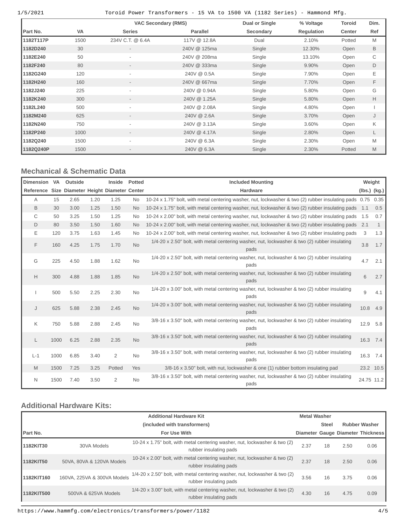#### 1/5/2021 Toroid Power Transformers - 15 VA to 1500 VA (1182 Series) - Hammond Mfg.

|           |      | <b>VAC Secondary (RMS)</b> |              | Dual or Single | % Voltage  | <b>Toroid</b> | Dim. |
|-----------|------|----------------------------|--------------|----------------|------------|---------------|------|
| Part No.  | VA   | <b>Series</b>              | Parallel     | Secondary      | Regulation | Center        | Ref  |
| 1182T117P | 1500 | 234V C.T. @ 6.4A           | 117V @ 12.8A | Dual           | 2.10%      | Potted        | M    |
| 1182D240  | 30   | $\overline{\phantom{a}}$   | 240V @ 125ma | Single         | 12.30%     | Open          | B    |
| 1182E240  | 50   | $\overline{\phantom{a}}$   | 240V @ 208ma | Single         | 13.10%     | Open          | С    |
| 1182F240  | 80   | $\overline{\phantom{a}}$   | 240V @ 333ma | Single         | 9.90%      | Open          | D    |
| 1182G240  | 120  | $\overline{\phantom{a}}$   | 240V @ 0.5A  | Single         | 7.90%      | Open          | Ε    |
| 1182H240  | 160  | $\overline{\phantom{a}}$   | 240V @ 667ma | Single         | 7.70%      | Open          | F    |
| 1182J240  | 225  | $\overline{\phantom{a}}$   | 240V @ 0.94A | Single         | 5.80%      | Open          | G    |
| 1182K240  | 300  | $\overline{\phantom{a}}$   | 240V @ 1.25A | Single         | 5.80%      | Open          | Н    |
| 1182L240  | 500  | $\overline{\phantom{a}}$   | 240V @ 2.08A | Single         | 4.80%      | Open          |      |
| 1182M240  | 625  | $\overline{\phantom{a}}$   | 240V @ 2.6A  | Single         | 3.70%      | Open          | J    |
| 1182N240  | 750  | $\overline{\phantom{a}}$   | 240V @ 3.13A | Single         | 3.60%      | Open          | Κ    |
| 1182P240  | 1000 | $\overline{\phantom{a}}$   | 240V @ 4.17A | Single         | 2.80%      | Open          | L    |
| 1182Q240  | 1500 | $\overline{\phantom{a}}$   | 240V @ 6.3A  | Single         | 2.30%      | Open          | M    |
| 1182Q240P | 1500 | $\overline{\phantom{a}}$   | 240V @ 6.3A  | Single         | 2.30%      | Potted        | M    |

#### **Mechanical & Schematic Data**

| Dimension VA                                   |      | Outside |      | Inside Potted |           | <b>Included Mounting</b>                                                                                    | Weight         |              |
|------------------------------------------------|------|---------|------|---------------|-----------|-------------------------------------------------------------------------------------------------------------|----------------|--------------|
| Reference Size Diameter Height Diameter Center |      |         |      |               |           | <b>Hardware</b>                                                                                             | (lbs.) (kg.)   |              |
| Α                                              | 15   | 2.65    | 1.20 | 1.25          | <b>No</b> | 10-24 x 1.75" bolt, with metal centering washer, nut, lockwasher & two (2) rubber insulating pads 0.75 0.35 |                |              |
| B                                              | 30   | 3.00    | 1.25 | 1.50          | <b>No</b> | 10-24 x 1.75" bolt, with metal centering washer, nut, lockwasher & two (2) rubber insulating pads           | 1.1            | 0.5          |
| C                                              | 50   | 3.25    | 1.50 | 1.25          | <b>No</b> | 10-24 x 2.00" bolt, with metal centering washer, nut, lockwasher & two (2) rubber insulating pads           | 1.5            | 0.7          |
| D                                              | 80   | 3.50    | 1.50 | 1.60          | <b>No</b> | 10-24 x 2.00" bolt, with metal centering washer, nut, lockwasher & two (2) rubber insulating pads           | 2.1            | $\mathbf{1}$ |
| Ε                                              | 120  | 3.75    | 1.63 | 1.45          | <b>No</b> | 10-24 x 2.00" bolt, with metal centering washer, nut, lockwasher & two (2) rubber insulating pads           | 3              | 1.3          |
| F                                              | 160  | 4.25    | 1.75 | 1.70          | <b>No</b> | $1/4$ -20 x 2.50" bolt, with metal centering washer, nut, lockwasher & two (2) rubber insulating<br>pads    | 3.8            | 1.7          |
| G                                              | 225  | 4.50    | 1.88 | 1.62          | <b>No</b> | $1/4$ -20 x 2.50" bolt, with metal centering washer, nut, lockwasher & two (2) rubber insulating<br>pads    | 4.7            | 2.1          |
| Н                                              | 300  | 4.88    | 1.88 | 1.85          | <b>No</b> | $1/4$ -20 x 2.50" bolt, with metal centering washer, nut, lockwasher & two (2) rubber insulating<br>pads    | $6\phantom{1}$ | 2.7          |
|                                                | 500  | 5.50    | 2.25 | 2.30          | <b>No</b> | $1/4$ -20 x 3.00" bolt, with metal centering washer, nut, lockwasher & two (2) rubber insulating<br>pads    | 9              | 4.1          |
| J                                              | 625  | 5.88    | 2.38 | 2.45          | <b>No</b> | $1/4$ -20 x 3.00" bolt, with metal centering washer, nut, lockwasher & two (2) rubber insulating<br>pads    | 10.8           | 4.9          |
| K                                              | 750  | 5.88    | 2.88 | 2.45          | <b>No</b> | $3/8$ -16 x 3.50" bolt, with metal centering washer, nut, lockwasher & two (2) rubber insulating<br>pads    | 12.9           | 5.8          |
| L                                              | 1000 | 6.25    | 2.88 | 2.35          | <b>No</b> | $3/8$ -16 x 3.50" bolt, with metal centering washer, nut, lockwasher & two (2) rubber insulating<br>pads    | 16.3           | 7.4          |
| $L-1$                                          | 1000 | 6.85    | 3.40 | 2             | <b>No</b> | $3/8$ -16 x 3.50" bolt, with metal centering washer, nut, lockwasher & two (2) rubber insulating<br>pads    | 16.3           | 7.4          |
| M                                              | 1500 | 7.25    | 3.25 | Potted        | Yes       | $3/8$ -16 x 3.50" bolt, with nut, lockwasher & one (1) rubber bottom insulating pad                         | 23.2 10.5      |              |
| N                                              | 1500 | 7.40    | 3.50 | 2             | <b>No</b> | $3/8$ -16 x 3.50" bolt, with metal centering washer, nut, lockwasher & two (2) rubber insulating<br>pads    | 24.75 11.2     |              |

## **Additional Hardware Kits:**

|            |                             | <b>Metal Washer</b>                                                                                      |      |              |      |                                   |
|------------|-----------------------------|----------------------------------------------------------------------------------------------------------|------|--------------|------|-----------------------------------|
|            |                             | (included with transformers)                                                                             |      | <b>Steel</b> |      | <b>Rubber Washer</b>              |
| Part No.   |                             | For Use With                                                                                             |      |              |      | Diameter Gauge Diameter Thickness |
| 1182KIT30  | 30VA Models                 | 10-24 x 1.75" bolt, with metal centering washer, nut, lockwasher & two (2)<br>rubber insulating pads     | 2.37 | 18           | 2.50 | 0.06                              |
| 1182KIT50  | 50VA, 80VA & 120VA Models   | 10-24 x 2.00" bolt, with metal centering washer, nut, lockwasher & two (2)<br>rubber insulating pads     | 2.37 | 18           | 2.50 | 0.06                              |
| 1182KIT160 | 160VA, 225VA & 300VA Models | $1/4$ -20 x 2.50" bolt, with metal centering washer, nut, lockwasher & two (2)<br>rubber insulating pads | 3.56 | 16           | 3.75 | 0.06                              |
| 1182KIT500 | 500VA & 625VA Models        | $1/4$ -20 x 3.00" bolt, with metal centering washer, nut, lockwasher & two (2)<br>rubber insulating pads | 4.30 | 16           | 4.75 | 0.09                              |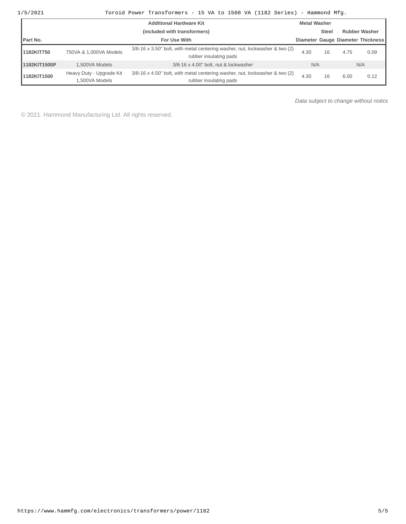#### 1/5/2021 Toroid Power Transformers - 15 VA to 1500 VA (1182 Series) - Hammond Mfg.

|              | <b>Additional Hardware Kit</b>             |                                                                                                               |      | <b>Metal Washer</b> |      |                                   |
|--------------|--------------------------------------------|---------------------------------------------------------------------------------------------------------------|------|---------------------|------|-----------------------------------|
|              | (included with transformers)               |                                                                                                               |      | <b>Steel</b>        |      | <b>Rubber Washer</b>              |
| Part No.     |                                            | <b>For Use With</b>                                                                                           |      |                     |      | Diameter Gauge Diameter Thickness |
| 1182KIT750   | 750VA & 1,000VA Models                     | $3/8-16 \times 3.50$ " bolt, with metal centering washer, nut, lockwasher & two (2)<br>rubber insulating pads | 4.30 | 16                  | 4.75 | 0.09                              |
| 1182KIT1500P | 1.500VA Models                             | 3/8-16 x 4.00" bolt, nut & lockwasher                                                                         | N/A  |                     |      | N/A                               |
| 1182KIT1500  | Heavy Duty - Upgrade Kit<br>1.500VA Models | 3/8-16 x 4.50" bolt, with metal centering washer, nut, lockwasher & two (2)<br>rubber insulating pads         | 4.30 | 16                  | 6.00 | 0.12                              |

*Data subject to change without notice*

© 2021. Hammond Manufacturing Ltd. All rights reserved.